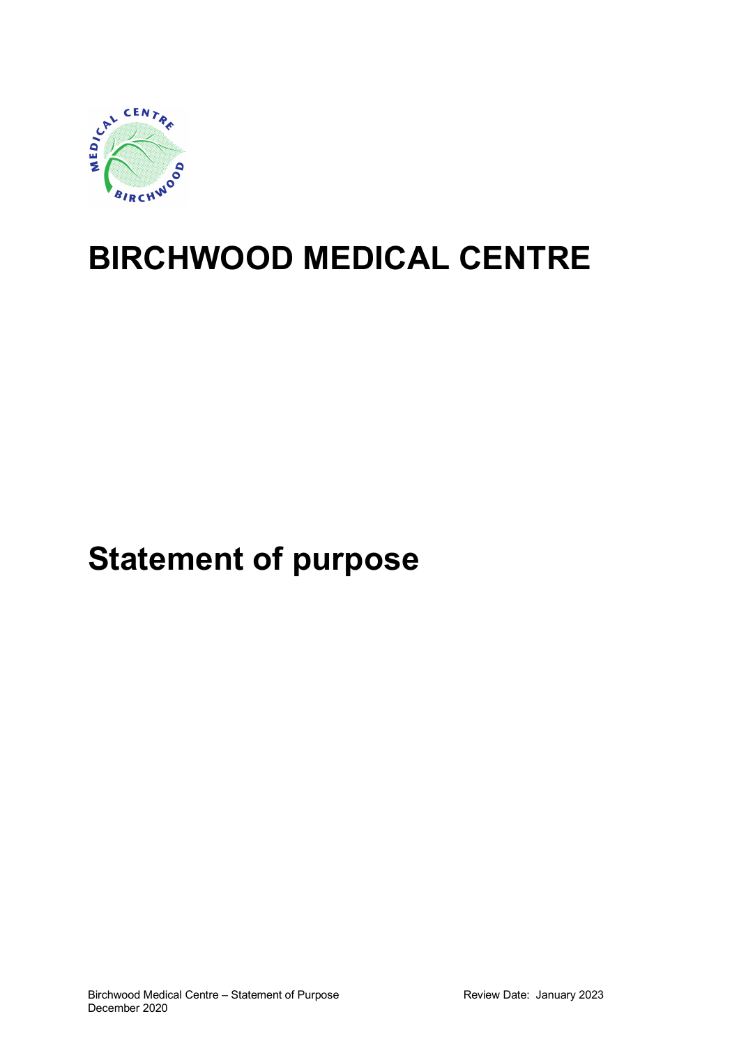

## **BIRCHWOOD MEDICAL CENTRE**

## **Statement of purpose**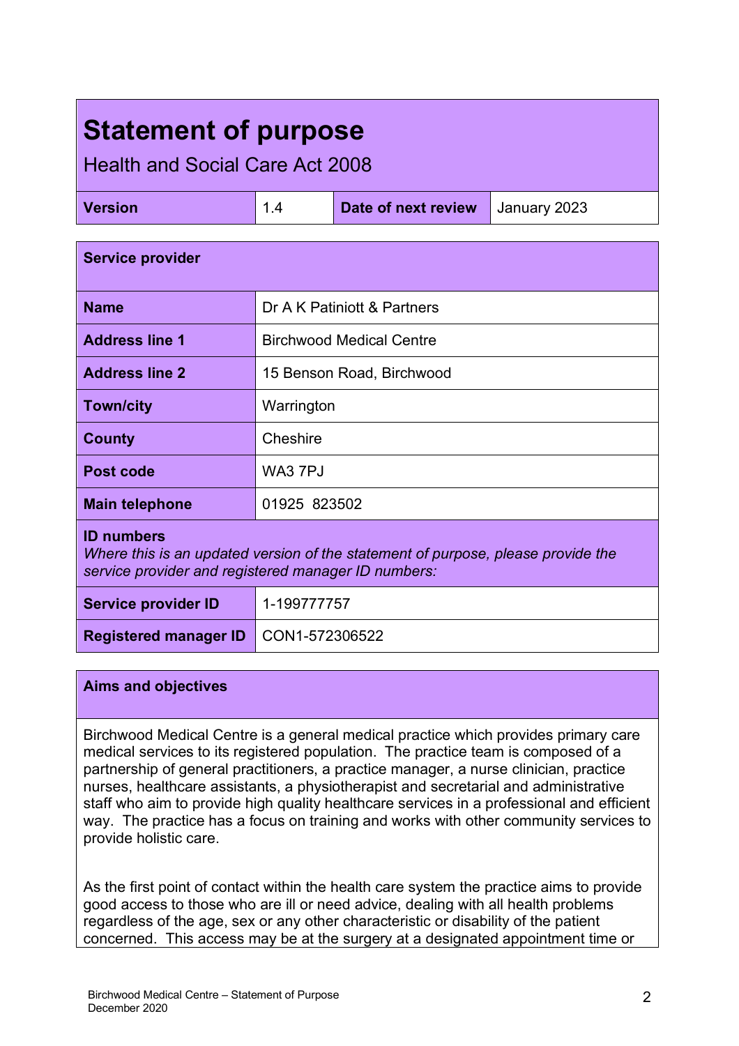## **Statement of purpose**

Health and Social Care Act 2008

| <b>Version</b> | <b>Date of next review</b> January 2023 |  |
|----------------|-----------------------------------------|--|
|                |                                         |  |

| <b>Service provider</b>                                                                                                                                      |                                 |  |
|--------------------------------------------------------------------------------------------------------------------------------------------------------------|---------------------------------|--|
| <b>Name</b>                                                                                                                                                  | Dr A K Patiniott & Partners     |  |
| <b>Address line 1</b>                                                                                                                                        | <b>Birchwood Medical Centre</b> |  |
| <b>Address line 2</b>                                                                                                                                        | 15 Benson Road, Birchwood       |  |
| <b>Town/city</b>                                                                                                                                             | Warrington                      |  |
| County                                                                                                                                                       | Cheshire                        |  |
| Post code                                                                                                                                                    | WA3 7PJ                         |  |
| <b>Main telephone</b>                                                                                                                                        | 01925 823502                    |  |
| <b>ID numbers</b><br>Where this is an updated version of the statement of purpose, please provide the<br>service provider and registered manager ID numbers: |                                 |  |
| <b>Service provider ID</b>                                                                                                                                   | 1-199777757                     |  |
| <b>Registered manager ID</b>                                                                                                                                 | CON1-572306522                  |  |

## **Aims and objectives**

Birchwood Medical Centre is a general medical practice which provides primary care medical services to its registered population. The practice team is composed of a partnership of general practitioners, a practice manager, a nurse clinician, practice nurses, healthcare assistants, a physiotherapist and secretarial and administrative staff who aim to provide high quality healthcare services in a professional and efficient way. The practice has a focus on training and works with other community services to provide holistic care.

As the first point of contact within the health care system the practice aims to provide good access to those who are ill or need advice, dealing with all health problems regardless of the age, sex or any other characteristic or disability of the patient concerned. This access may be at the surgery at a designated appointment time or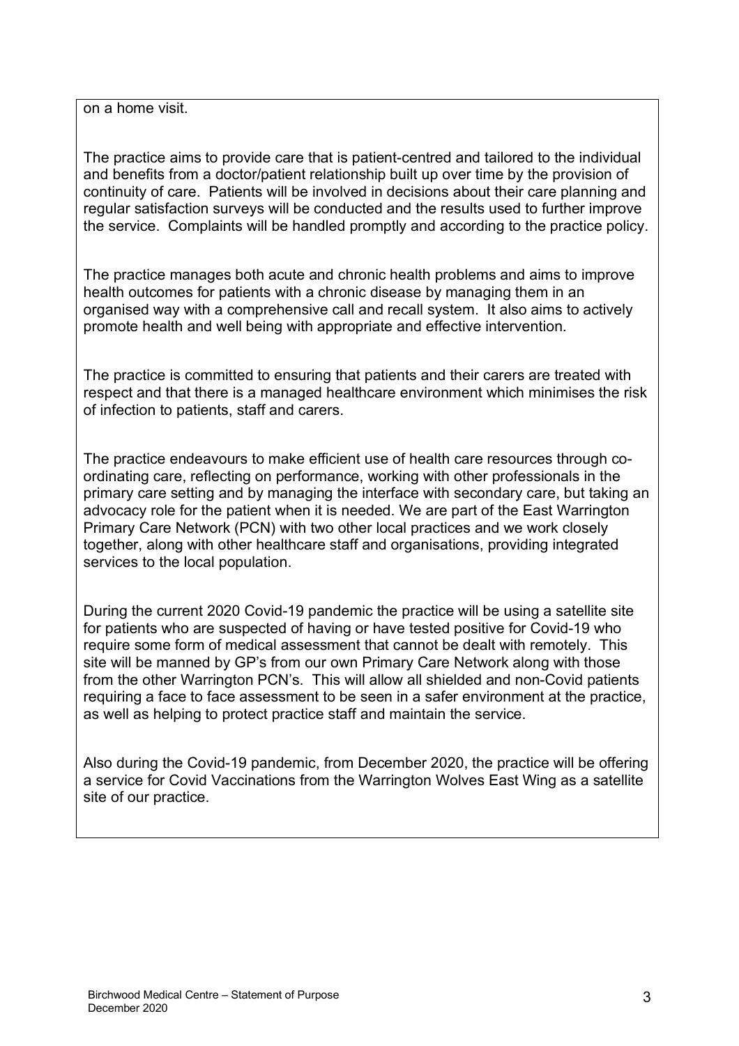on a home visit.

The practice aims to provide care that is patient-centred and tailored to the individual and benefits from a doctor/patient relationship built up over time by the provision of continuity of care. Patients will be involved in decisions about their care planning and regular satisfaction surveys will be conducted and the results used to further improve the service. Complaints will be handled promptly and according to the practice policy.

The practice manages both acute and chronic health problems and aims to improve health outcomes for patients with a chronic disease by managing them in an organised way with a comprehensive call and recall system. It also aims to actively promote health and well being with appropriate and effective intervention.

The practice is committed to ensuring that patients and their carers are treated with respect and that there is a managed healthcare environment which minimises the risk of infection to patients, staff and carers.

The practice endeavours to make efficient use of health care resources through coordinating care, reflecting on performance, working with other professionals in the primary care setting and by managing the interface with secondary care, but taking an advocacy role for the patient when it is needed. We are part of the East Warrington Primary Care Network (PCN) with two other local practices and we work closely together, along with other healthcare staff and organisations, providing integrated services to the local population.

During the current 2020 Covid-19 pandemic the practice will be using a satellite site for patients who are suspected of having or have tested positive for Covid-19 who require some form of medical assessment that cannot be dealt with remotely. This site will be manned by GP's from our own Primary Care Network along with those from the other Warrington PCN's. This will allow all shielded and non-Covid patients requiring a face to face assessment to be seen in a safer environment at the practice, as well as helping to protect practice staff and maintain the service.

Also during the Covid-19 pandemic, from December 2020, the practice will be offering a service for Covid Vaccinations from the Warrington Wolves East Wing as a satellite site of our practice.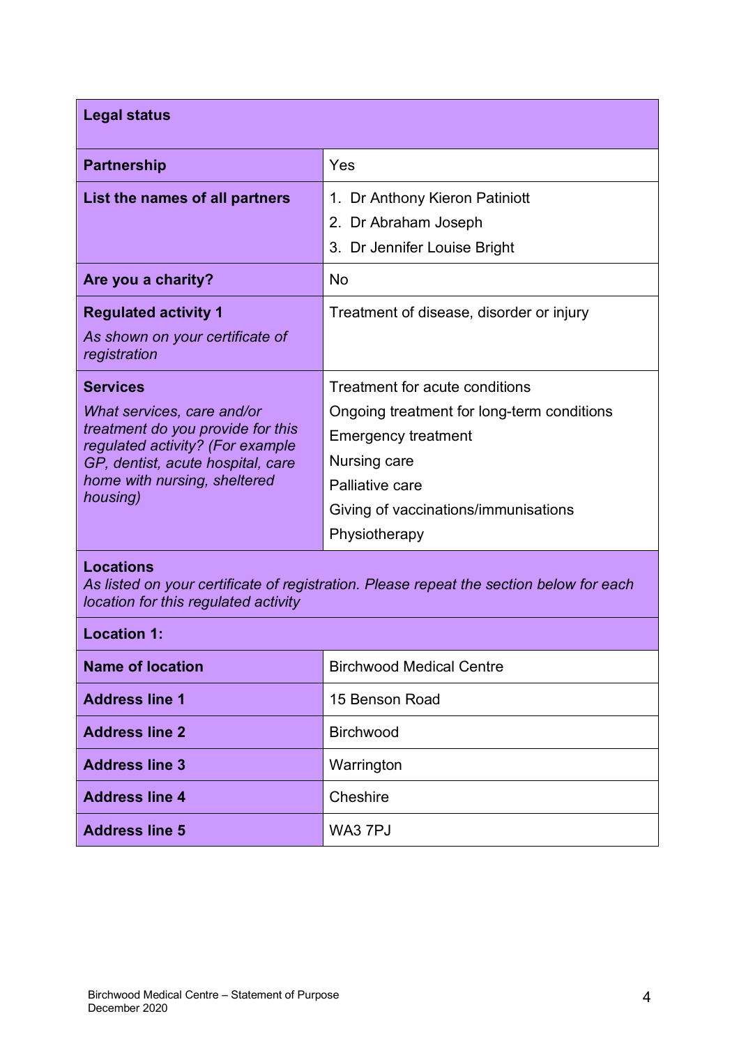| <b>Legal status</b>                                                                                                                                                                                     |                                                                                                                                                                                                        |  |
|---------------------------------------------------------------------------------------------------------------------------------------------------------------------------------------------------------|--------------------------------------------------------------------------------------------------------------------------------------------------------------------------------------------------------|--|
| <b>Partnership</b>                                                                                                                                                                                      | Yes                                                                                                                                                                                                    |  |
| List the names of all partners                                                                                                                                                                          | 1. Dr Anthony Kieron Patiniott<br>2. Dr Abraham Joseph<br>3. Dr Jennifer Louise Bright                                                                                                                 |  |
| Are you a charity?                                                                                                                                                                                      | <b>No</b>                                                                                                                                                                                              |  |
| <b>Regulated activity 1</b><br>As shown on your certificate of<br>registration                                                                                                                          | Treatment of disease, disorder or injury                                                                                                                                                               |  |
| <b>Services</b><br>What services, care and/or<br>treatment do you provide for this<br>regulated activity? (For example<br>GP, dentist, acute hospital, care<br>home with nursing, sheltered<br>housing) | Treatment for acute conditions<br>Ongoing treatment for long-term conditions<br><b>Emergency treatment</b><br>Nursing care<br>Palliative care<br>Giving of vaccinations/immunisations<br>Physiotherapy |  |
| <b>Locations</b><br>As listed on your certificate of registration. Please repeat the section below for each<br>location for this regulated activity                                                     |                                                                                                                                                                                                        |  |
| <b>Location 1:</b>                                                                                                                                                                                      |                                                                                                                                                                                                        |  |
| <b>Name of location</b>                                                                                                                                                                                 | <b>Birchwood Medical Centre</b>                                                                                                                                                                        |  |
| <b>Address line 1</b>                                                                                                                                                                                   | 15 Benson Road                                                                                                                                                                                         |  |
| <b>Address line 2</b>                                                                                                                                                                                   | <b>Birchwood</b>                                                                                                                                                                                       |  |
| <b>Address line 3</b>                                                                                                                                                                                   | Warrington                                                                                                                                                                                             |  |
| <b>Address line 4</b>                                                                                                                                                                                   | Cheshire                                                                                                                                                                                               |  |
| <b>Address line 5</b>                                                                                                                                                                                   | WA3 7PJ                                                                                                                                                                                                |  |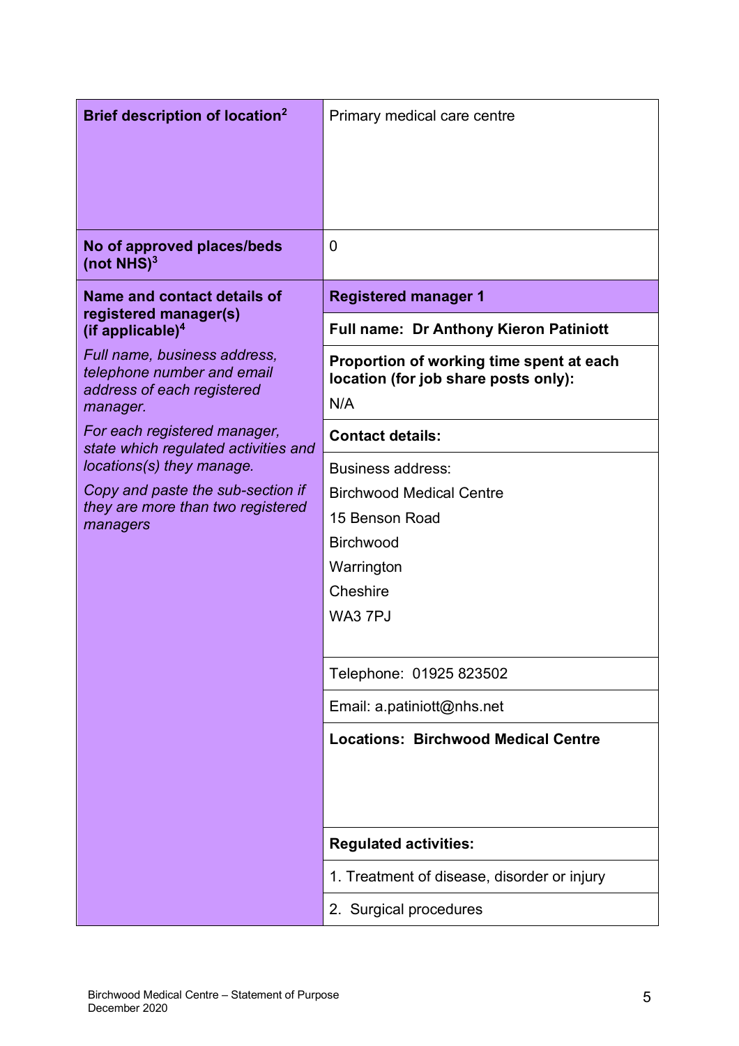| Brief description of location <sup>2</sup>                             | Primary medical care centre                   |
|------------------------------------------------------------------------|-----------------------------------------------|
|                                                                        |                                               |
|                                                                        |                                               |
|                                                                        |                                               |
|                                                                        |                                               |
| No of approved places/beds<br>(not $NHS$ ) <sup>3</sup>                | $\overline{0}$                                |
| Name and contact details of                                            | <b>Registered manager 1</b>                   |
| registered manager(s)<br>(if applicable) $4$                           | <b>Full name: Dr Anthony Kieron Patiniott</b> |
| Full name, business address,<br>telephone number and email             | Proportion of working time spent at each      |
| address of each registered                                             | location (for job share posts only):<br>N/A   |
| manager.<br>For each registered manager,                               |                                               |
| state which regulated activities and                                   | <b>Contact details:</b>                       |
| locations(s) they manage.                                              | Business address:                             |
| Copy and paste the sub-section if<br>they are more than two registered | <b>Birchwood Medical Centre</b>               |
| managers                                                               | 15 Benson Road                                |
|                                                                        | <b>Birchwood</b>                              |
|                                                                        | Warrington                                    |
|                                                                        | Cheshire                                      |
|                                                                        | WA3 7PJ                                       |
|                                                                        |                                               |
|                                                                        | Telephone: 01925 823502                       |
|                                                                        | Email: a.patiniott@nhs.net                    |
|                                                                        | <b>Locations: Birchwood Medical Centre</b>    |
|                                                                        |                                               |
|                                                                        |                                               |
|                                                                        |                                               |
|                                                                        | <b>Regulated activities:</b>                  |
|                                                                        | 1. Treatment of disease, disorder or injury   |
|                                                                        | 2. Surgical procedures                        |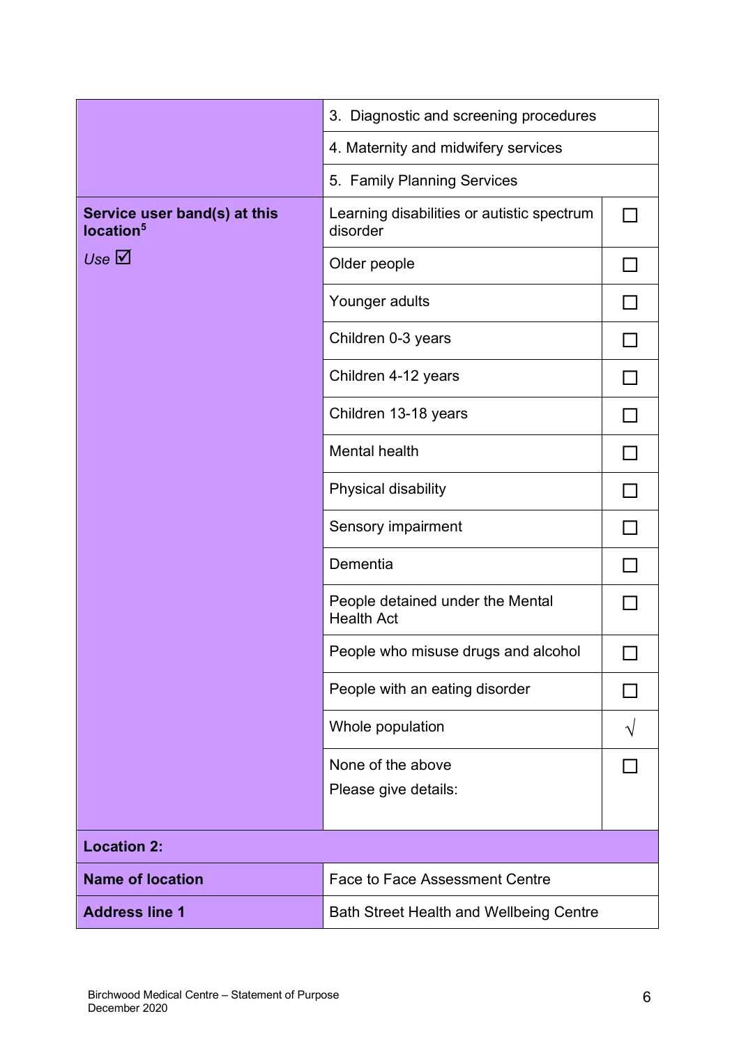|                                                       | 3. Diagnostic and screening procedures                 |              |
|-------------------------------------------------------|--------------------------------------------------------|--------------|
|                                                       | 4. Maternity and midwifery services                    |              |
|                                                       | 5. Family Planning Services                            |              |
| Service user band(s) at this<br>location <sup>5</sup> | Learning disabilities or autistic spectrum<br>disorder |              |
| Use $\boxtimes$                                       | Older people                                           |              |
|                                                       | Younger adults                                         |              |
|                                                       | Children 0-3 years                                     |              |
|                                                       | Children 4-12 years                                    | ΙI           |
|                                                       | Children 13-18 years                                   |              |
|                                                       | Mental health                                          | $\mathsf{L}$ |
|                                                       | Physical disability                                    |              |
|                                                       | Sensory impairment                                     |              |
|                                                       | Dementia                                               |              |
|                                                       | People detained under the Mental<br><b>Health Act</b>  |              |
|                                                       | People who misuse drugs and alcohol                    | ᆸ            |
|                                                       | People with an eating disorder                         |              |
|                                                       | Whole population                                       |              |
|                                                       | None of the above                                      |              |
|                                                       | Please give details:                                   |              |
| <b>Location 2:</b>                                    |                                                        |              |
|                                                       |                                                        |              |
| <b>Name of location</b>                               | <b>Face to Face Assessment Centre</b>                  |              |
| <b>Address line 1</b>                                 | <b>Bath Street Health and Wellbeing Centre</b>         |              |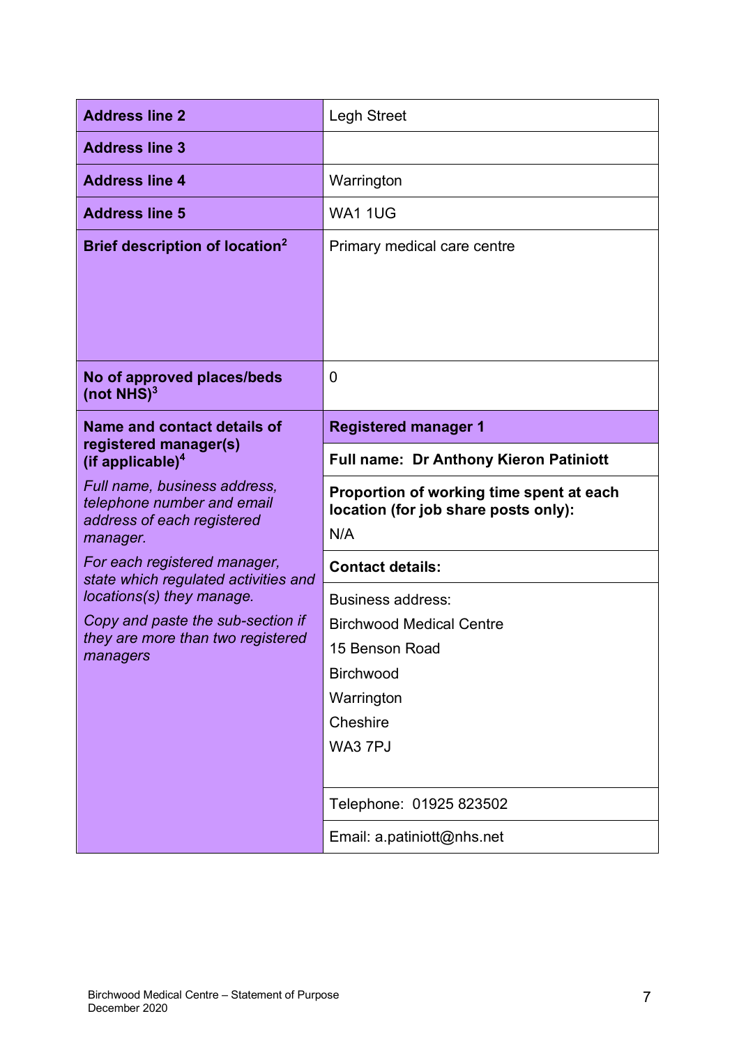| <b>Address line 2</b>                                                                                | <b>Legh Street</b>                                                                      |
|------------------------------------------------------------------------------------------------------|-----------------------------------------------------------------------------------------|
| <b>Address line 3</b>                                                                                |                                                                                         |
| <b>Address line 4</b>                                                                                | Warrington                                                                              |
| <b>Address line 5</b>                                                                                | <b>WA1 1UG</b>                                                                          |
| Brief description of location <sup>2</sup>                                                           | Primary medical care centre                                                             |
|                                                                                                      |                                                                                         |
|                                                                                                      |                                                                                         |
|                                                                                                      |                                                                                         |
| No of approved places/beds<br>(not $NHS$ ) <sup>3</sup>                                              | $\overline{0}$                                                                          |
| <b>Name and contact details of</b>                                                                   | <b>Registered manager 1</b>                                                             |
| registered manager(s)<br>(if applicable) $4$                                                         | <b>Full name: Dr Anthony Kieron Patiniott</b>                                           |
|                                                                                                      |                                                                                         |
| Full name, business address,<br>telephone number and email<br>address of each registered<br>manager. | Proportion of working time spent at each<br>location (for job share posts only):<br>N/A |
| For each registered manager,                                                                         | <b>Contact details:</b>                                                                 |
| state which regulated activities and<br>locations(s) they manage.                                    | <b>Business address:</b>                                                                |
| Copy and paste the sub-section if                                                                    | <b>Birchwood Medical Centre</b>                                                         |
| they are more than two registered                                                                    | 15 Benson Road                                                                          |
| managers                                                                                             | <b>Birchwood</b>                                                                        |
|                                                                                                      | Warrington                                                                              |
|                                                                                                      | Cheshire                                                                                |
|                                                                                                      | WA3 7PJ                                                                                 |
|                                                                                                      |                                                                                         |
|                                                                                                      | Telephone: 01925 823502                                                                 |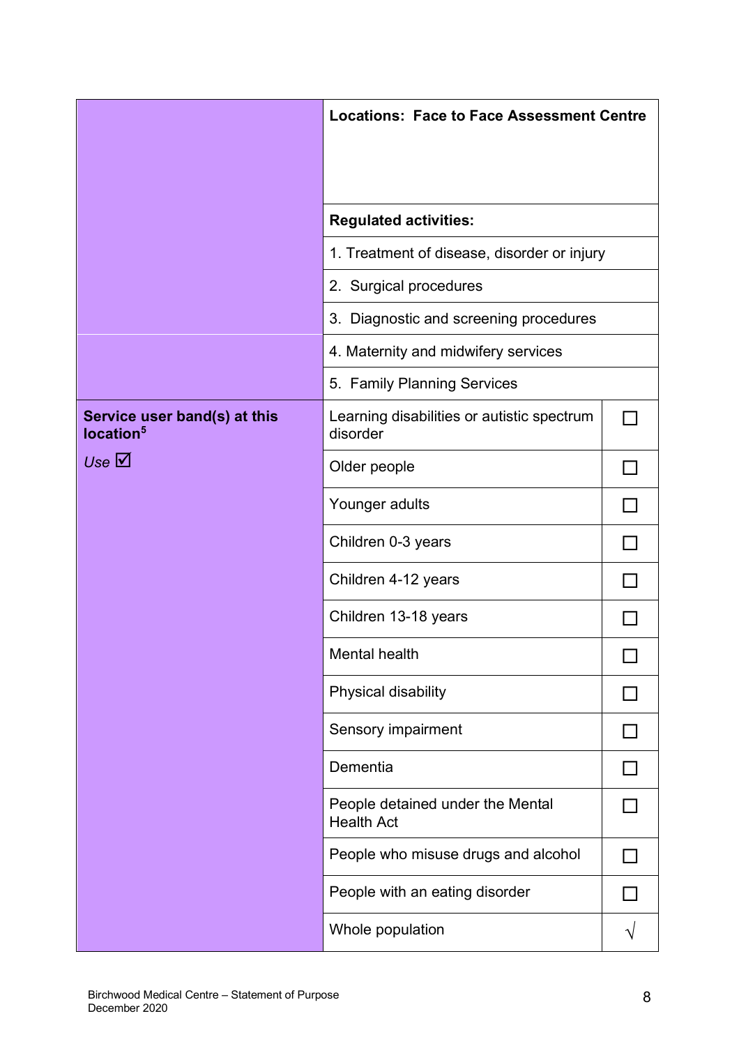|                                                       | <b>Locations: Face to Face Assessment Centre</b>       |  |
|-------------------------------------------------------|--------------------------------------------------------|--|
|                                                       |                                                        |  |
|                                                       |                                                        |  |
|                                                       | <b>Regulated activities:</b>                           |  |
|                                                       | 1. Treatment of disease, disorder or injury            |  |
|                                                       | 2. Surgical procedures                                 |  |
|                                                       | 3. Diagnostic and screening procedures                 |  |
|                                                       | 4. Maternity and midwifery services                    |  |
|                                                       | 5. Family Planning Services                            |  |
| Service user band(s) at this<br>location <sup>5</sup> | Learning disabilities or autistic spectrum<br>disorder |  |
| Use $\overline{\boxtimes}$                            | Older people                                           |  |
|                                                       | Younger adults                                         |  |
|                                                       | Children 0-3 years                                     |  |
|                                                       | Children 4-12 years                                    |  |
|                                                       | Children 13-18 years                                   |  |
|                                                       | Mental health                                          |  |
|                                                       | Physical disability                                    |  |
|                                                       | Sensory impairment                                     |  |
|                                                       | Dementia                                               |  |
|                                                       | People detained under the Mental<br><b>Health Act</b>  |  |
|                                                       | People who misuse drugs and alcohol                    |  |
|                                                       | People with an eating disorder                         |  |
|                                                       | Whole population                                       |  |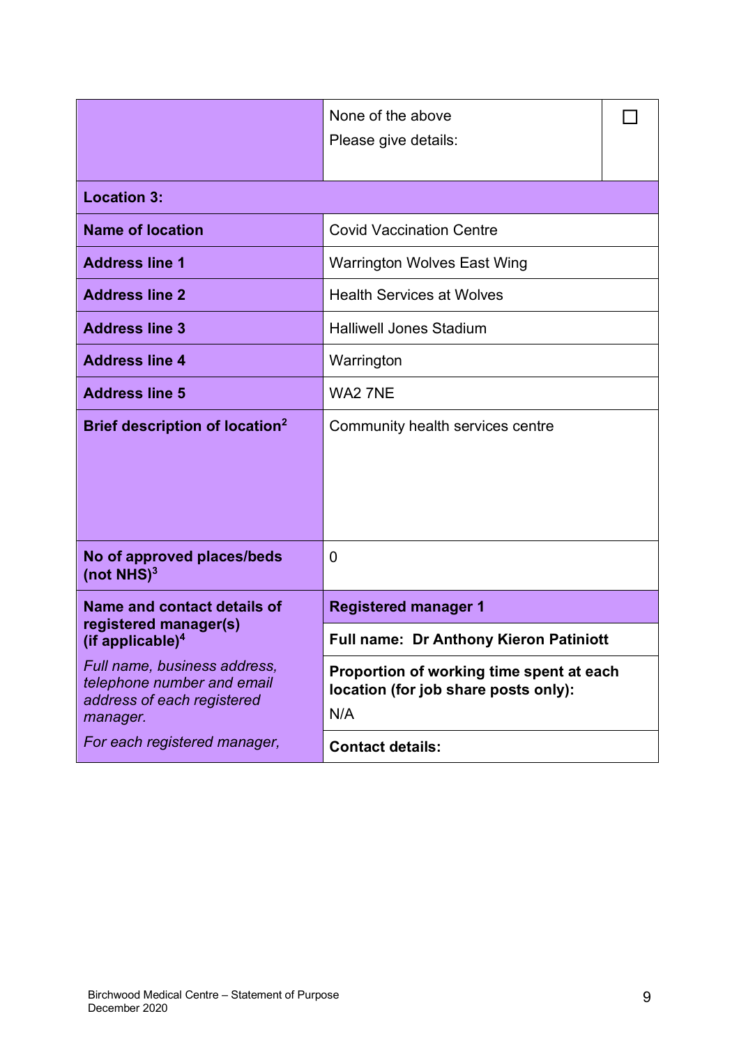|                                                                                          | None of the above<br>Please give details:                                        |  |
|------------------------------------------------------------------------------------------|----------------------------------------------------------------------------------|--|
|                                                                                          |                                                                                  |  |
| <b>Location 3:</b>                                                                       |                                                                                  |  |
| <b>Name of location</b>                                                                  | <b>Covid Vaccination Centre</b>                                                  |  |
| <b>Address line 1</b>                                                                    | <b>Warrington Wolves East Wing</b>                                               |  |
| <b>Address line 2</b>                                                                    | <b>Health Services at Wolves</b>                                                 |  |
| <b>Address line 3</b>                                                                    | <b>Halliwell Jones Stadium</b>                                                   |  |
| <b>Address line 4</b>                                                                    | Warrington                                                                       |  |
| <b>Address line 5</b>                                                                    | WA2 7NE                                                                          |  |
| Brief description of location <sup>2</sup>                                               | Community health services centre                                                 |  |
|                                                                                          |                                                                                  |  |
|                                                                                          |                                                                                  |  |
|                                                                                          |                                                                                  |  |
| No of approved places/beds<br>(not $NHS$ ) <sup>3</sup>                                  | 0                                                                                |  |
| Name and contact details of                                                              | <b>Registered manager 1</b>                                                      |  |
| registered manager(s)<br>(if applicable) $4$                                             | Full name: Dr Anthony Kieron Patiniott                                           |  |
| Full name, business address,<br>telephone number and email<br>address of each registered | Proportion of working time spent at each<br>location (for job share posts only): |  |
| manager.                                                                                 | N/A                                                                              |  |
| For each registered manager,                                                             | <b>Contact details:</b>                                                          |  |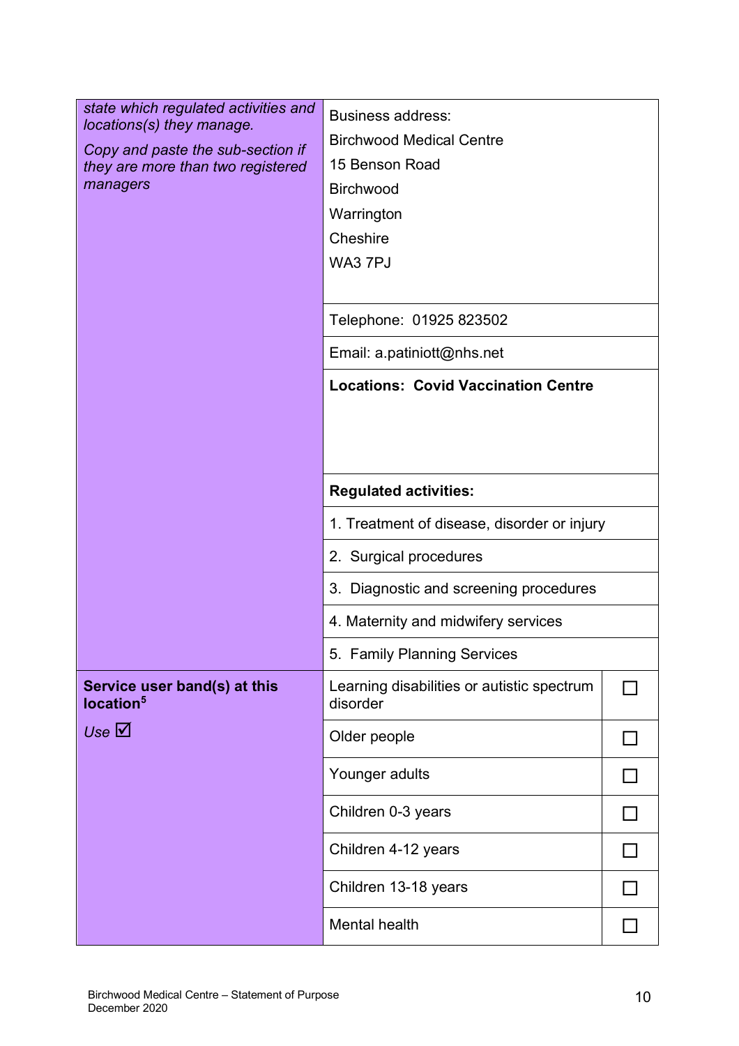| state which regulated activities and<br>locations(s) they manage.<br>Copy and paste the sub-section if<br>they are more than two registered<br>managers | <b>Business address:</b><br><b>Birchwood Medical Centre</b><br>15 Benson Road<br><b>Birchwood</b><br>Warrington<br>Cheshire<br>WA3 7PJ<br>Telephone: 01925 823502<br>Email: a.patiniott@nhs.net<br><b>Locations: Covid Vaccination Centre</b> |  |
|---------------------------------------------------------------------------------------------------------------------------------------------------------|-----------------------------------------------------------------------------------------------------------------------------------------------------------------------------------------------------------------------------------------------|--|
|                                                                                                                                                         | <b>Regulated activities:</b>                                                                                                                                                                                                                  |  |
|                                                                                                                                                         | 1. Treatment of disease, disorder or injury                                                                                                                                                                                                   |  |
|                                                                                                                                                         |                                                                                                                                                                                                                                               |  |
|                                                                                                                                                         | 2. Surgical procedures                                                                                                                                                                                                                        |  |
|                                                                                                                                                         | 3. Diagnostic and screening procedures                                                                                                                                                                                                        |  |
|                                                                                                                                                         | 4. Maternity and midwifery services                                                                                                                                                                                                           |  |
|                                                                                                                                                         | 5. Family Planning Services                                                                                                                                                                                                                   |  |
| Service user band(s) at this<br>location <sup>5</sup>                                                                                                   | Learning disabilities or autistic spectrum<br>disorder                                                                                                                                                                                        |  |
| Use $\overline{\boxtimes}$                                                                                                                              | Older people                                                                                                                                                                                                                                  |  |
|                                                                                                                                                         | Younger adults                                                                                                                                                                                                                                |  |
|                                                                                                                                                         | Children 0-3 years                                                                                                                                                                                                                            |  |
|                                                                                                                                                         | Children 4-12 years                                                                                                                                                                                                                           |  |
|                                                                                                                                                         | Children 13-18 years                                                                                                                                                                                                                          |  |
|                                                                                                                                                         | Mental health                                                                                                                                                                                                                                 |  |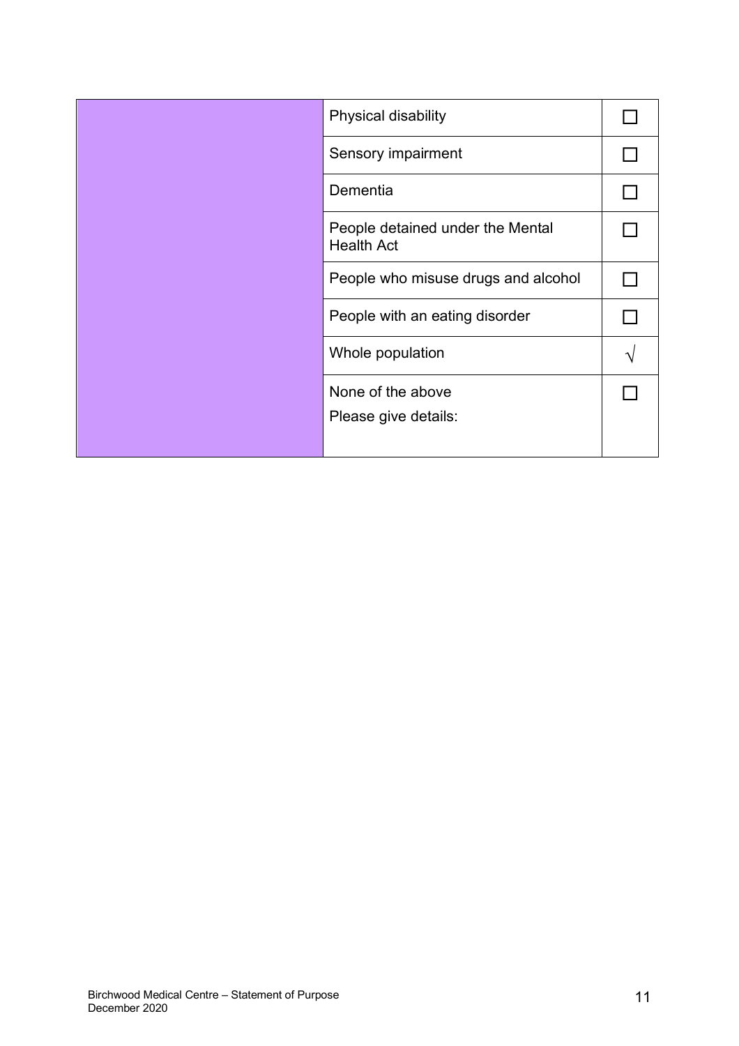| Physical disability                                   |  |
|-------------------------------------------------------|--|
| Sensory impairment                                    |  |
| Dementia                                              |  |
| People detained under the Mental<br><b>Health Act</b> |  |
| People who misuse drugs and alcohol                   |  |
| People with an eating disorder                        |  |
| Whole population                                      |  |
| None of the above                                     |  |
| Please give details:                                  |  |
|                                                       |  |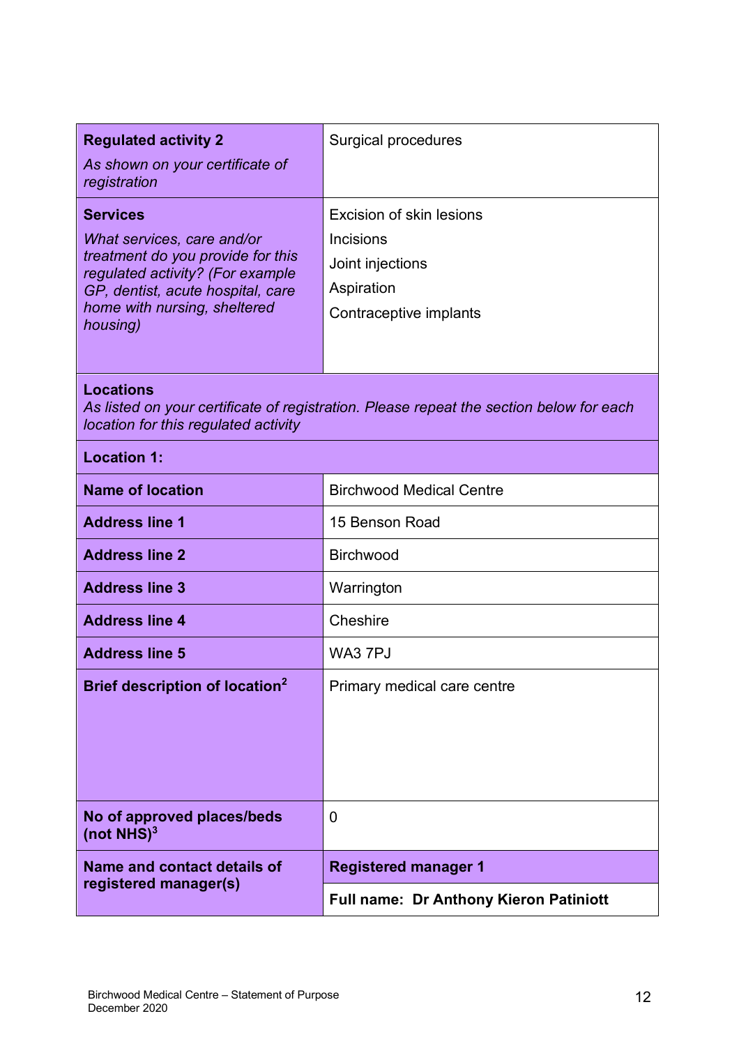| <b>Regulated activity 2</b>                                           | Surgical procedures                                                                     |
|-----------------------------------------------------------------------|-----------------------------------------------------------------------------------------|
| As shown on your certificate of<br>registration                       |                                                                                         |
| <b>Services</b>                                                       | Excision of skin lesions                                                                |
| What services, care and/or                                            | <b>Incisions</b>                                                                        |
| treatment do you provide for this<br>regulated activity? (For example | Joint injections                                                                        |
| GP, dentist, acute hospital, care<br>home with nursing, sheltered     | Aspiration                                                                              |
| housing)                                                              | Contraceptive implants                                                                  |
|                                                                       |                                                                                         |
| <b>Locations</b><br>location for this regulated activity              | As listed on your certificate of registration. Please repeat the section below for each |
| <b>Location 1:</b>                                                    |                                                                                         |
| <b>Name of location</b>                                               | <b>Birchwood Medical Centre</b>                                                         |
| <b>Address line 1</b>                                                 | 15 Benson Road                                                                          |
| <b>Address line 2</b>                                                 | <b>Birchwood</b>                                                                        |
| <b>Address line 3</b>                                                 | Warrington                                                                              |
| <b>Address line 4</b>                                                 | Cheshire                                                                                |
| <b>Address line 5</b>                                                 | WA3 7PJ                                                                                 |
| Brief description of location <sup>2</sup>                            | Primary medical care centre                                                             |
|                                                                       |                                                                                         |
|                                                                       |                                                                                         |
|                                                                       |                                                                                         |
| No of approved places/beds<br>(not NHS) <sup>3</sup>                  | 0                                                                                       |
| Name and contact details of                                           | <b>Registered manager 1</b>                                                             |
| registered manager(s)                                                 | <b>Full name: Dr Anthony Kieron Patiniott</b>                                           |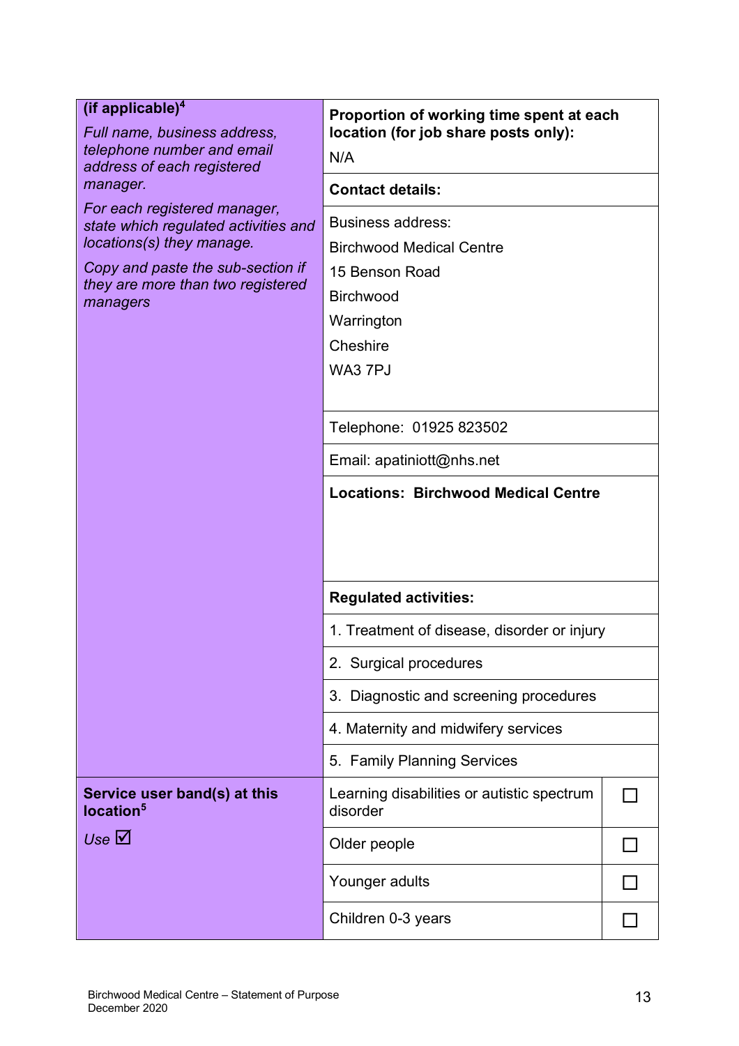| (if applicable) $4$<br>Full name, business address,<br>telephone number and email<br>address of each registered                                                                         | Proportion of working time spent at each<br>location (for job share posts only):<br>N/A                                                                                                                                                      |  |
|-----------------------------------------------------------------------------------------------------------------------------------------------------------------------------------------|----------------------------------------------------------------------------------------------------------------------------------------------------------------------------------------------------------------------------------------------|--|
| manager.                                                                                                                                                                                | <b>Contact details:</b>                                                                                                                                                                                                                      |  |
| For each registered manager,<br>state which regulated activities and<br>locations(s) they manage.<br>Copy and paste the sub-section if<br>they are more than two registered<br>managers | <b>Business address:</b><br><b>Birchwood Medical Centre</b><br>15 Benson Road<br><b>Birchwood</b><br>Warrington<br>Cheshire<br>WA3 7PJ<br>Telephone: 01925 823502<br>Email: apatiniott@nhs.net<br><b>Locations: Birchwood Medical Centre</b> |  |
|                                                                                                                                                                                         | <b>Regulated activities:</b>                                                                                                                                                                                                                 |  |
|                                                                                                                                                                                         | 1. Treatment of disease, disorder or injury                                                                                                                                                                                                  |  |
|                                                                                                                                                                                         | 2. Surgical procedures                                                                                                                                                                                                                       |  |
|                                                                                                                                                                                         | 3. Diagnostic and screening procedures                                                                                                                                                                                                       |  |
|                                                                                                                                                                                         | 4. Maternity and midwifery services                                                                                                                                                                                                          |  |
|                                                                                                                                                                                         | 5. Family Planning Services                                                                                                                                                                                                                  |  |
| Service user band(s) at this<br>location <sup>5</sup>                                                                                                                                   | Learning disabilities or autistic spectrum<br>disorder                                                                                                                                                                                       |  |
| Use $\boxtimes$                                                                                                                                                                         | Older people                                                                                                                                                                                                                                 |  |
|                                                                                                                                                                                         | Younger adults                                                                                                                                                                                                                               |  |
|                                                                                                                                                                                         | Children 0-3 years                                                                                                                                                                                                                           |  |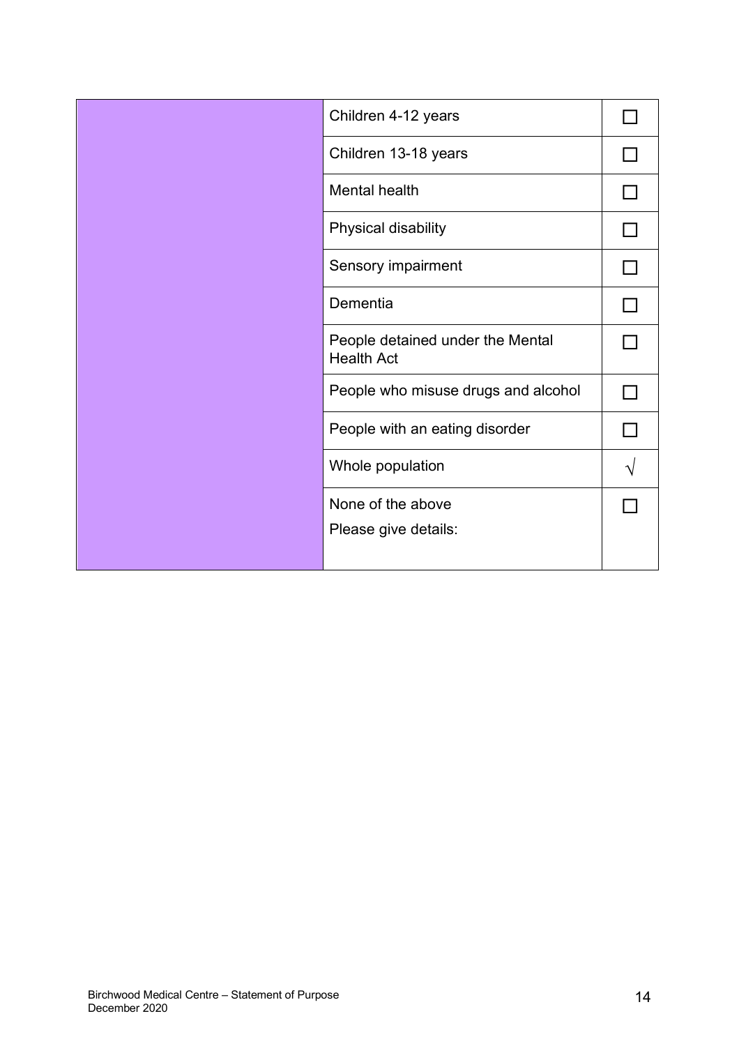|  | Children 4-12 years                                   |  |
|--|-------------------------------------------------------|--|
|  | Children 13-18 years                                  |  |
|  | Mental health                                         |  |
|  | Physical disability                                   |  |
|  | Sensory impairment                                    |  |
|  | Dementia                                              |  |
|  | People detained under the Mental<br><b>Health Act</b> |  |
|  | People who misuse drugs and alcohol                   |  |
|  | People with an eating disorder                        |  |
|  | Whole population                                      |  |
|  | None of the above                                     |  |
|  | Please give details:                                  |  |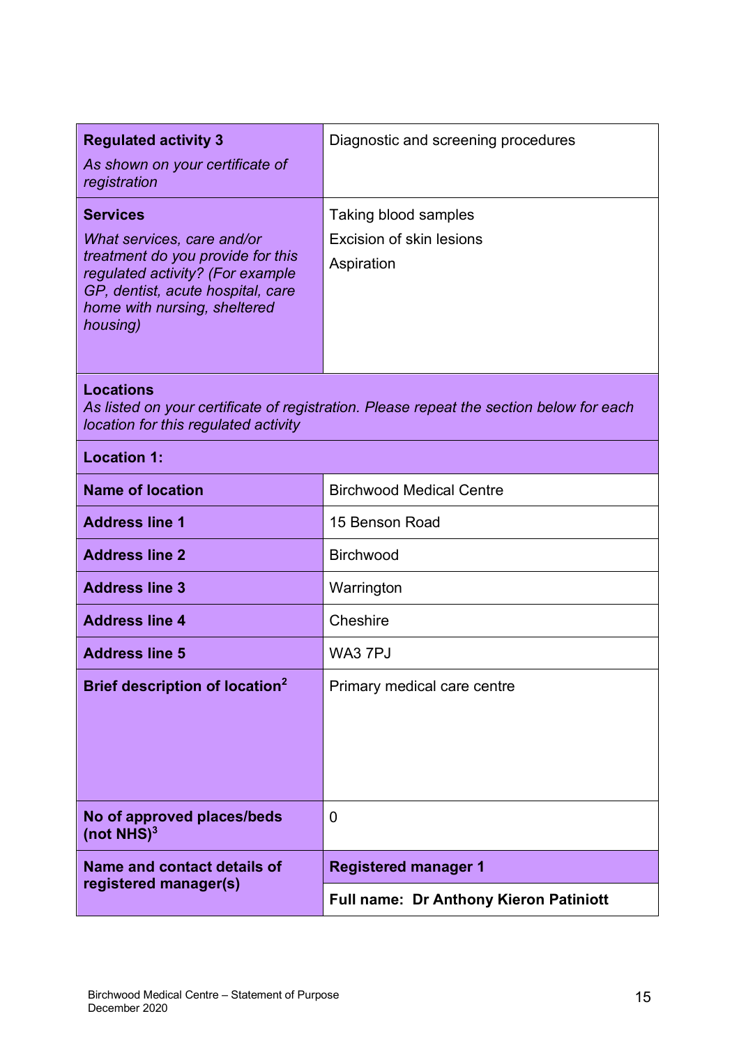| <b>Regulated activity 3</b><br>As shown on your certificate of<br>registration                                                                                                                          | Diagnostic and screening procedures                                   |  |
|---------------------------------------------------------------------------------------------------------------------------------------------------------------------------------------------------------|-----------------------------------------------------------------------|--|
| <b>Services</b><br>What services, care and/or<br>treatment do you provide for this<br>regulated activity? (For example<br>GP, dentist, acute hospital, care<br>home with nursing, sheltered<br>housing) | Taking blood samples<br><b>Excision of skin lesions</b><br>Aspiration |  |
| <b>Locations</b><br>As listed on your certificate of registration. Please repeat the section below for each<br>location for this regulated activity                                                     |                                                                       |  |
| <b>Location 1:</b>                                                                                                                                                                                      |                                                                       |  |
| <b>Name of location</b>                                                                                                                                                                                 | <b>Birchwood Medical Centre</b>                                       |  |
| <b>Address line 1</b>                                                                                                                                                                                   | 15 Benson Road                                                        |  |
| <b>Address line 2</b>                                                                                                                                                                                   | <b>Birchwood</b>                                                      |  |
| <b>Address line 3</b>                                                                                                                                                                                   | Warrington                                                            |  |
| <b>Address line 4</b>                                                                                                                                                                                   | Cheshire                                                              |  |
| <b>Address line 5</b>                                                                                                                                                                                   | WA3 7PJ                                                               |  |
| <b>Brief description of location<sup>2</sup></b>                                                                                                                                                        | Primary medical care centre                                           |  |
| No of approved places/beds<br>(not NHS) <sup>3</sup>                                                                                                                                                    | 0                                                                     |  |
| Name and contact details of                                                                                                                                                                             | <b>Registered manager 1</b>                                           |  |
| registered manager(s)                                                                                                                                                                                   | <b>Full name: Dr Anthony Kieron Patiniott</b>                         |  |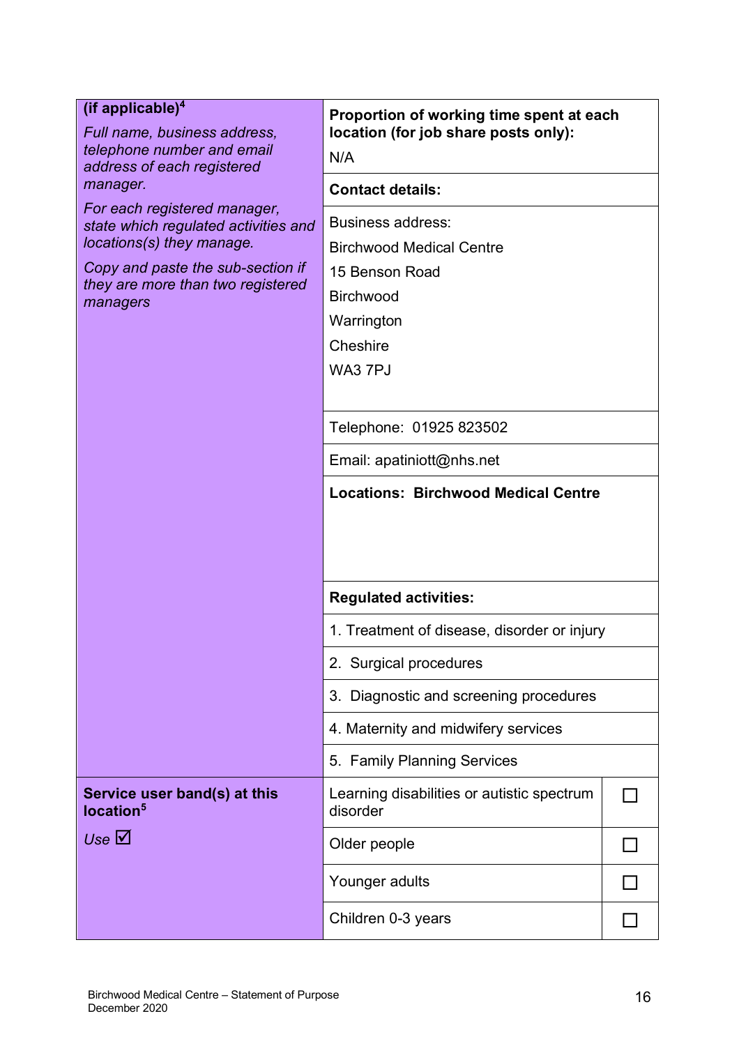| (if applicable) $4$<br>Full name, business address,<br>telephone number and email<br>address of each registered<br>manager.<br>For each registered manager,<br>state which regulated activities and<br>locations(s) they manage.<br>Copy and paste the sub-section if<br>they are more than two registered<br>managers | Proportion of working time spent at each<br>location (for job share posts only):<br>N/A                                                                                                                                                      |  |
|------------------------------------------------------------------------------------------------------------------------------------------------------------------------------------------------------------------------------------------------------------------------------------------------------------------------|----------------------------------------------------------------------------------------------------------------------------------------------------------------------------------------------------------------------------------------------|--|
|                                                                                                                                                                                                                                                                                                                        | <b>Contact details:</b>                                                                                                                                                                                                                      |  |
|                                                                                                                                                                                                                                                                                                                        | <b>Business address:</b><br><b>Birchwood Medical Centre</b><br>15 Benson Road<br><b>Birchwood</b><br>Warrington<br>Cheshire<br>WA3 7PJ<br>Telephone: 01925 823502<br>Email: apatiniott@nhs.net<br><b>Locations: Birchwood Medical Centre</b> |  |
|                                                                                                                                                                                                                                                                                                                        | <b>Regulated activities:</b>                                                                                                                                                                                                                 |  |
|                                                                                                                                                                                                                                                                                                                        | 1. Treatment of disease, disorder or injury                                                                                                                                                                                                  |  |
|                                                                                                                                                                                                                                                                                                                        | 2. Surgical procedures                                                                                                                                                                                                                       |  |
|                                                                                                                                                                                                                                                                                                                        | 3. Diagnostic and screening procedures                                                                                                                                                                                                       |  |
|                                                                                                                                                                                                                                                                                                                        | 4. Maternity and midwifery services                                                                                                                                                                                                          |  |
|                                                                                                                                                                                                                                                                                                                        | 5. Family Planning Services                                                                                                                                                                                                                  |  |
| Service user band(s) at this<br>location <sup>5</sup>                                                                                                                                                                                                                                                                  | Learning disabilities or autistic spectrum<br>disorder                                                                                                                                                                                       |  |
| Use $\boxtimes$                                                                                                                                                                                                                                                                                                        | Older people                                                                                                                                                                                                                                 |  |
|                                                                                                                                                                                                                                                                                                                        | Younger adults                                                                                                                                                                                                                               |  |
|                                                                                                                                                                                                                                                                                                                        | Children 0-3 years                                                                                                                                                                                                                           |  |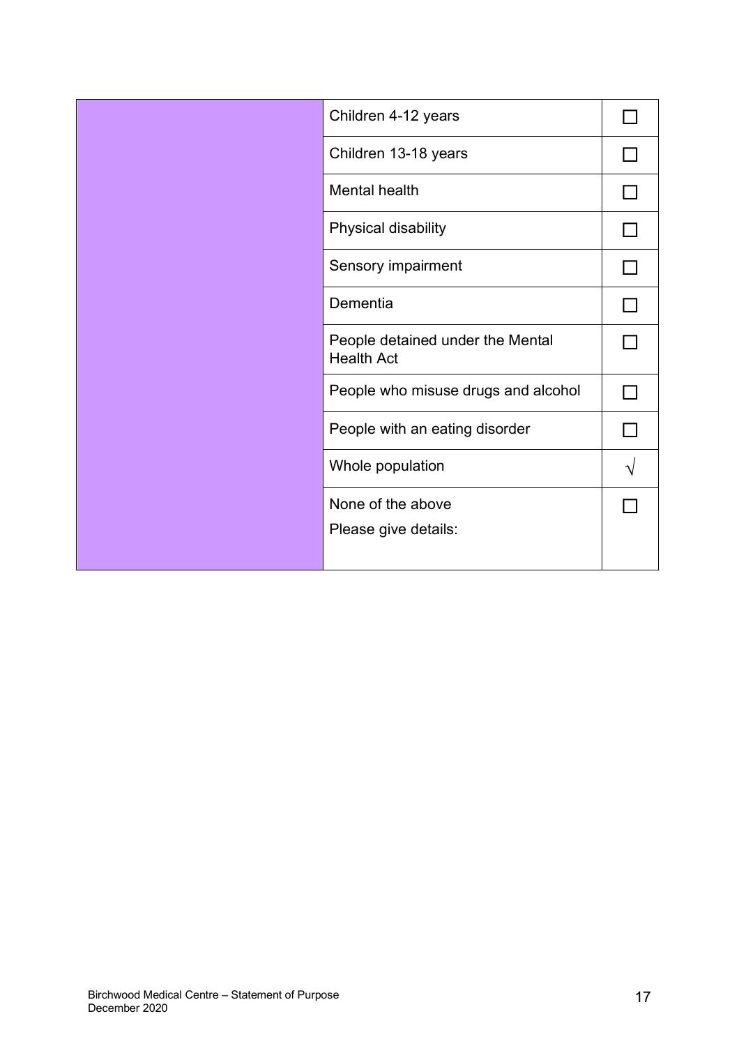|  | Children 4-12 years                                   |  |
|--|-------------------------------------------------------|--|
|  | Children 13-18 years                                  |  |
|  | Mental health                                         |  |
|  | Physical disability                                   |  |
|  | Sensory impairment                                    |  |
|  | Dementia                                              |  |
|  | People detained under the Mental<br><b>Health Act</b> |  |
|  | People who misuse drugs and alcohol                   |  |
|  | People with an eating disorder                        |  |
|  | Whole population                                      |  |
|  | None of the above                                     |  |
|  | Please give details:                                  |  |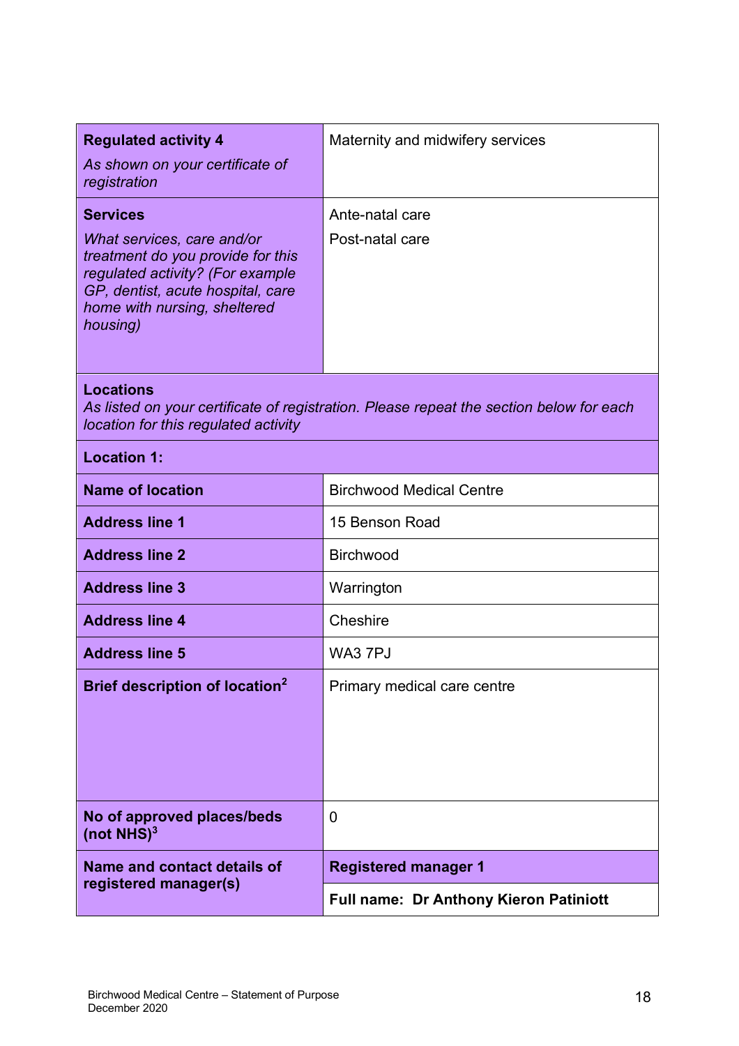| <b>Regulated activity 4</b>                                                                                                                                                          | Maternity and midwifery services              |  |
|--------------------------------------------------------------------------------------------------------------------------------------------------------------------------------------|-----------------------------------------------|--|
| As shown on your certificate of<br>registration                                                                                                                                      |                                               |  |
| <b>Services</b>                                                                                                                                                                      | Ante-natal care                               |  |
| What services, care and/or<br>treatment do you provide for this<br>regulated activity? (For example<br>GP, dentist, acute hospital, care<br>home with nursing, sheltered<br>housing) | Post-natal care                               |  |
| <b>Locations</b><br>As listed on your certificate of registration. Please repeat the section below for each<br>location for this regulated activity                                  |                                               |  |
| <b>Location 1:</b>                                                                                                                                                                   |                                               |  |
| <b>Name of location</b>                                                                                                                                                              | <b>Birchwood Medical Centre</b>               |  |
| <b>Address line 1</b>                                                                                                                                                                | 15 Benson Road                                |  |
| <b>Address line 2</b>                                                                                                                                                                | <b>Birchwood</b>                              |  |
| <b>Address line 3</b>                                                                                                                                                                | Warrington                                    |  |
| <b>Address line 4</b>                                                                                                                                                                | Cheshire                                      |  |
| <b>Address line 5</b>                                                                                                                                                                | WA3 7PJ                                       |  |
| Brief description of location <sup>2</sup>                                                                                                                                           | Primary medical care centre                   |  |
| No of approved places/beds<br>(not $NHS$ ) <sup>3</sup>                                                                                                                              | 0                                             |  |
| Name and contact details of                                                                                                                                                          | <b>Registered manager 1</b>                   |  |
| registered manager(s)                                                                                                                                                                | <b>Full name: Dr Anthony Kieron Patiniott</b> |  |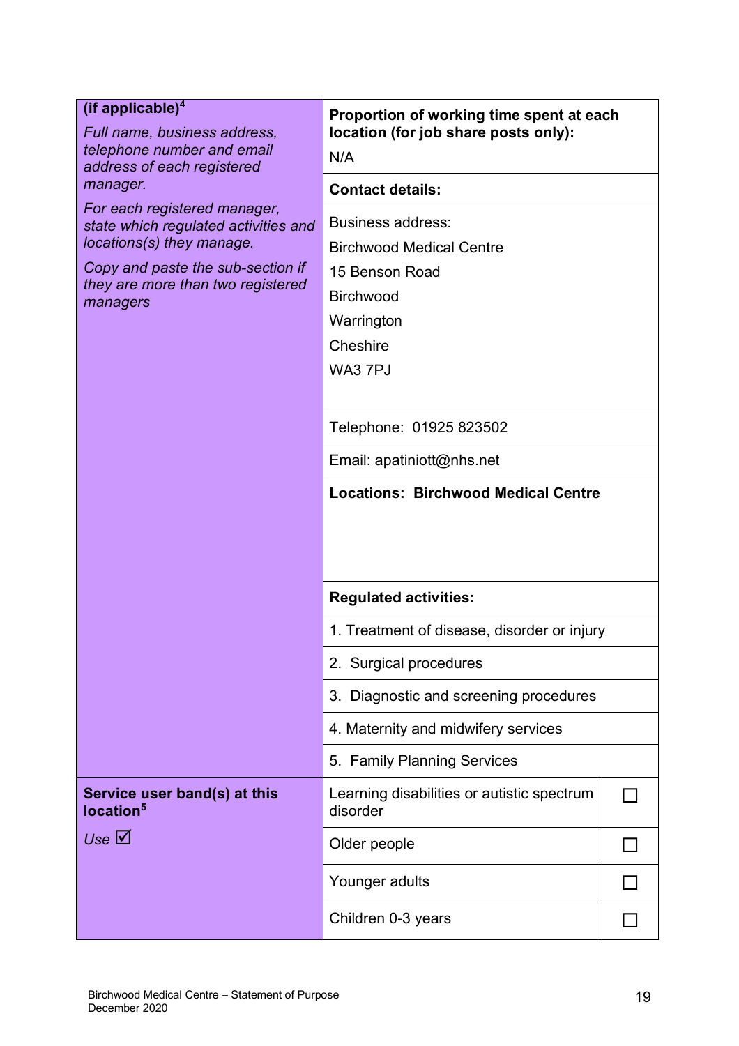| (if applicable) $4$<br>Full name, business address,<br>telephone number and email<br>address of each registered<br>manager.<br>For each registered manager,<br>state which regulated activities and<br>locations(s) they manage.<br>Copy and paste the sub-section if<br>they are more than two registered<br>managers | Proportion of working time spent at each<br>location (for job share posts only):<br>N/A                                                                                                                                                      |  |
|------------------------------------------------------------------------------------------------------------------------------------------------------------------------------------------------------------------------------------------------------------------------------------------------------------------------|----------------------------------------------------------------------------------------------------------------------------------------------------------------------------------------------------------------------------------------------|--|
|                                                                                                                                                                                                                                                                                                                        | <b>Contact details:</b>                                                                                                                                                                                                                      |  |
|                                                                                                                                                                                                                                                                                                                        | <b>Business address:</b><br><b>Birchwood Medical Centre</b><br>15 Benson Road<br><b>Birchwood</b><br>Warrington<br>Cheshire<br>WA3 7PJ<br>Telephone: 01925 823502<br>Email: apatiniott@nhs.net<br><b>Locations: Birchwood Medical Centre</b> |  |
|                                                                                                                                                                                                                                                                                                                        | <b>Regulated activities:</b>                                                                                                                                                                                                                 |  |
|                                                                                                                                                                                                                                                                                                                        | 1. Treatment of disease, disorder or injury                                                                                                                                                                                                  |  |
|                                                                                                                                                                                                                                                                                                                        | 2. Surgical procedures                                                                                                                                                                                                                       |  |
|                                                                                                                                                                                                                                                                                                                        | 3. Diagnostic and screening procedures                                                                                                                                                                                                       |  |
|                                                                                                                                                                                                                                                                                                                        | 4. Maternity and midwifery services                                                                                                                                                                                                          |  |
|                                                                                                                                                                                                                                                                                                                        | 5. Family Planning Services                                                                                                                                                                                                                  |  |
| Service user band(s) at this<br>location <sup>5</sup>                                                                                                                                                                                                                                                                  | Learning disabilities or autistic spectrum<br>disorder                                                                                                                                                                                       |  |
| Use $\boxtimes$                                                                                                                                                                                                                                                                                                        | Older people                                                                                                                                                                                                                                 |  |
|                                                                                                                                                                                                                                                                                                                        | Younger adults                                                                                                                                                                                                                               |  |
|                                                                                                                                                                                                                                                                                                                        | Children 0-3 years                                                                                                                                                                                                                           |  |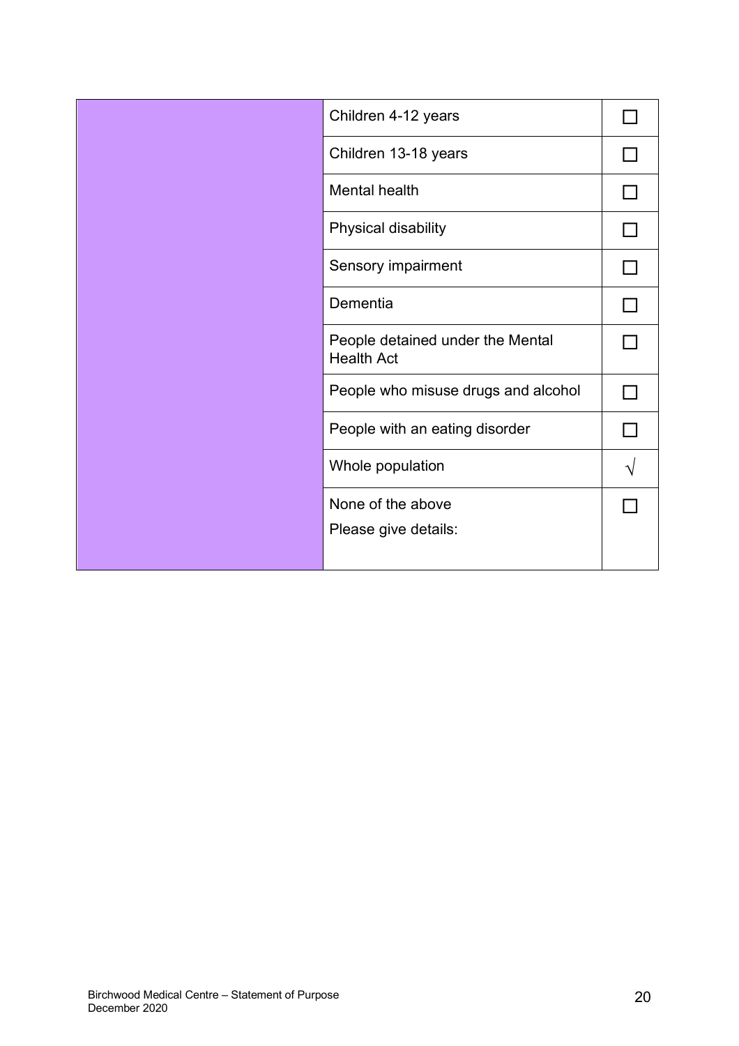|  | Children 4-12 years                                   |  |
|--|-------------------------------------------------------|--|
|  | Children 13-18 years                                  |  |
|  | Mental health                                         |  |
|  | Physical disability                                   |  |
|  | Sensory impairment                                    |  |
|  | Dementia                                              |  |
|  | People detained under the Mental<br><b>Health Act</b> |  |
|  | People who misuse drugs and alcohol                   |  |
|  | People with an eating disorder                        |  |
|  | Whole population                                      |  |
|  | None of the above                                     |  |
|  | Please give details:                                  |  |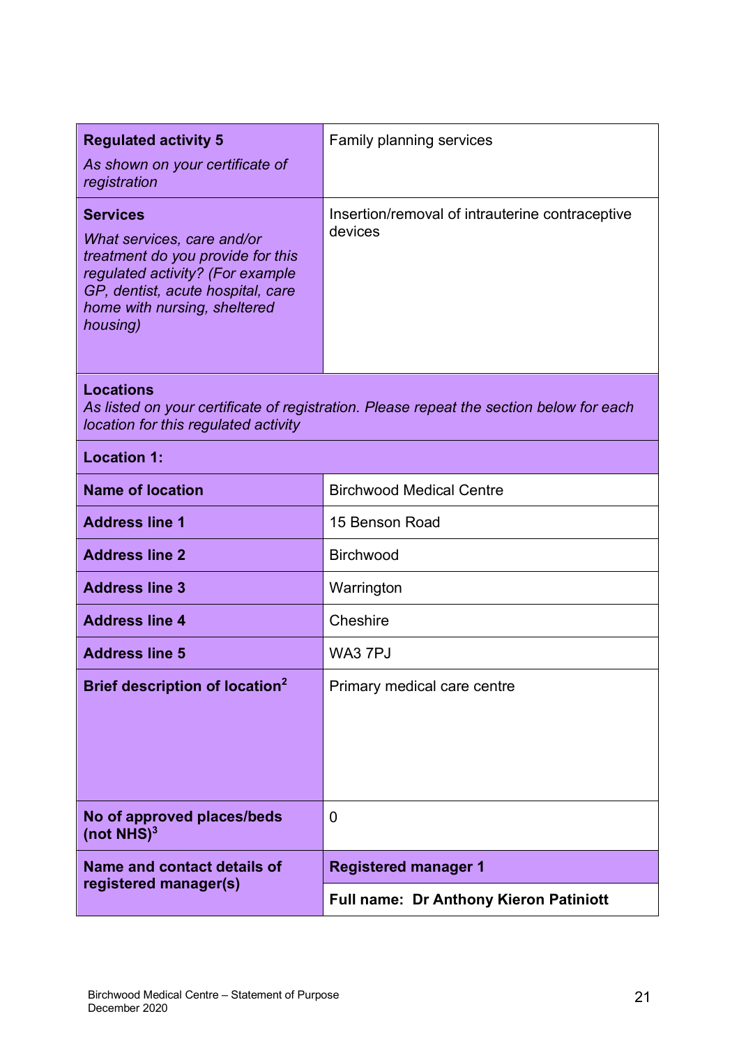| <b>Regulated activity 5</b>                                                                                                                                                                             | Family planning services                                   |  |
|---------------------------------------------------------------------------------------------------------------------------------------------------------------------------------------------------------|------------------------------------------------------------|--|
| As shown on your certificate of<br>registration                                                                                                                                                         |                                                            |  |
| <b>Services</b><br>What services, care and/or<br>treatment do you provide for this<br>regulated activity? (For example<br>GP, dentist, acute hospital, care<br>home with nursing, sheltered<br>housing) | Insertion/removal of intrauterine contraceptive<br>devices |  |
| <b>Locations</b><br>As listed on your certificate of registration. Please repeat the section below for each<br>location for this regulated activity                                                     |                                                            |  |
| <b>Location 1:</b>                                                                                                                                                                                      |                                                            |  |
| <b>Name of location</b>                                                                                                                                                                                 | <b>Birchwood Medical Centre</b>                            |  |
| <b>Address line 1</b>                                                                                                                                                                                   | 15 Benson Road                                             |  |
| <b>Address line 2</b>                                                                                                                                                                                   | <b>Birchwood</b>                                           |  |
| <b>Address line 3</b>                                                                                                                                                                                   | Warrington                                                 |  |
| <b>Address line 4</b>                                                                                                                                                                                   | Cheshire                                                   |  |
| <b>Address line 5</b>                                                                                                                                                                                   | WA3 7PJ                                                    |  |
| Brief description of location <sup>2</sup>                                                                                                                                                              | Primary medical care centre                                |  |
| No of approved places/beds<br>(not $NHS$ ) <sup>3</sup>                                                                                                                                                 | 0                                                          |  |
| Name and contact details of<br>registered manager(s)                                                                                                                                                    | <b>Registered manager 1</b>                                |  |
|                                                                                                                                                                                                         | <b>Full name: Dr Anthony Kieron Patiniott</b>              |  |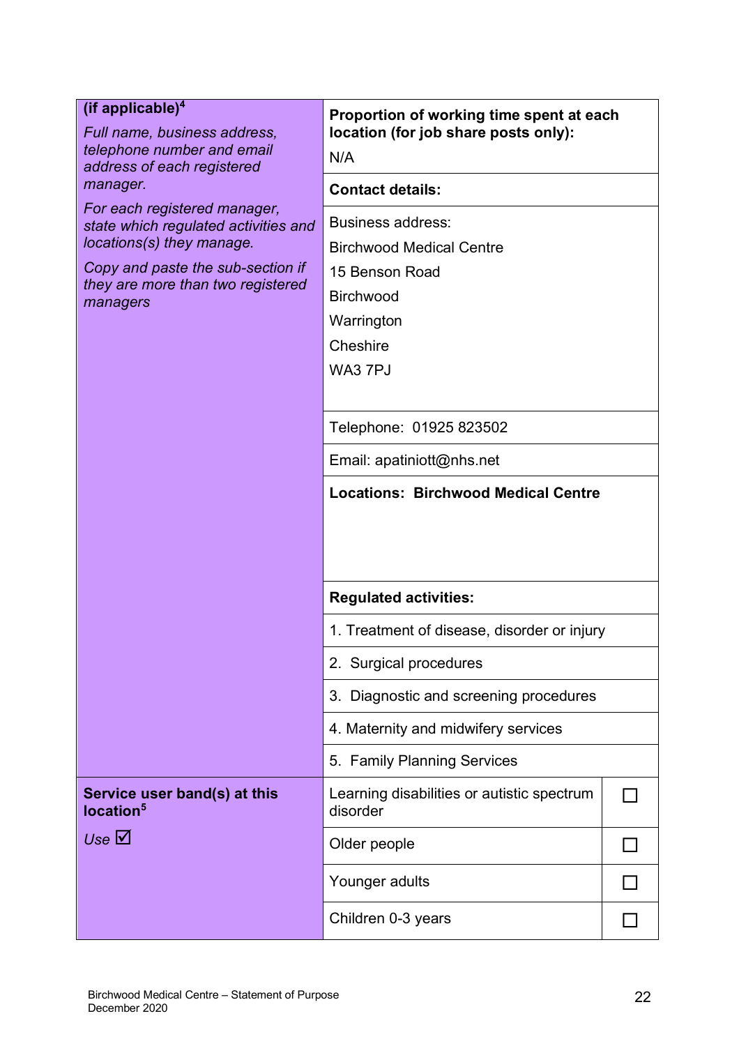| (if applicable) $4$<br>Full name, business address,<br>telephone number and email<br>address of each registered<br>manager.<br>For each registered manager,<br>state which regulated activities and<br>locations(s) they manage.<br>Copy and paste the sub-section if<br>they are more than two registered<br>managers | Proportion of working time spent at each<br>location (for job share posts only):<br>N/A                                                                                                                                                      |  |
|------------------------------------------------------------------------------------------------------------------------------------------------------------------------------------------------------------------------------------------------------------------------------------------------------------------------|----------------------------------------------------------------------------------------------------------------------------------------------------------------------------------------------------------------------------------------------|--|
|                                                                                                                                                                                                                                                                                                                        | <b>Contact details:</b>                                                                                                                                                                                                                      |  |
|                                                                                                                                                                                                                                                                                                                        | <b>Business address:</b><br><b>Birchwood Medical Centre</b><br>15 Benson Road<br><b>Birchwood</b><br>Warrington<br>Cheshire<br>WA3 7PJ<br>Telephone: 01925 823502<br>Email: apatiniott@nhs.net<br><b>Locations: Birchwood Medical Centre</b> |  |
|                                                                                                                                                                                                                                                                                                                        | <b>Regulated activities:</b>                                                                                                                                                                                                                 |  |
|                                                                                                                                                                                                                                                                                                                        | 1. Treatment of disease, disorder or injury                                                                                                                                                                                                  |  |
|                                                                                                                                                                                                                                                                                                                        | 2. Surgical procedures                                                                                                                                                                                                                       |  |
|                                                                                                                                                                                                                                                                                                                        | 3. Diagnostic and screening procedures                                                                                                                                                                                                       |  |
|                                                                                                                                                                                                                                                                                                                        | 4. Maternity and midwifery services                                                                                                                                                                                                          |  |
|                                                                                                                                                                                                                                                                                                                        | 5. Family Planning Services                                                                                                                                                                                                                  |  |
| Service user band(s) at this<br>location <sup>5</sup>                                                                                                                                                                                                                                                                  | Learning disabilities or autistic spectrum<br>disorder                                                                                                                                                                                       |  |
| Use $\boxtimes$                                                                                                                                                                                                                                                                                                        | Older people                                                                                                                                                                                                                                 |  |
|                                                                                                                                                                                                                                                                                                                        | Younger adults                                                                                                                                                                                                                               |  |
|                                                                                                                                                                                                                                                                                                                        | Children 0-3 years                                                                                                                                                                                                                           |  |